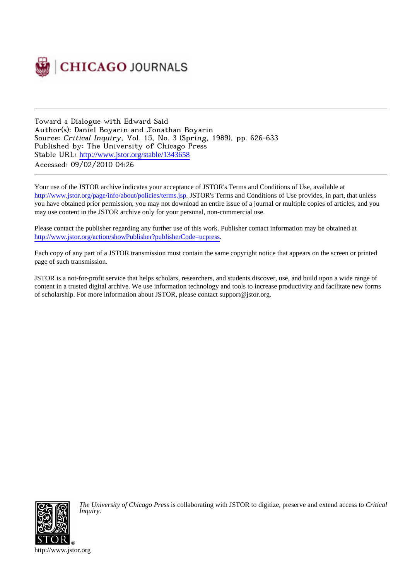

Toward a Dialogue with Edward Said Author(s): Daniel Boyarin and Jonathan Boyarin Source: Critical Inquiry, Vol. 15, No. 3 (Spring, 1989), pp. 626-633 Published by: The University of Chicago Press Stable URL: [http://www.jstor.org/stable/1343658](http://www.jstor.org/stable/1343658?origin=JSTOR-pdf) Accessed: 09/02/2010 04:26

Your use of the JSTOR archive indicates your acceptance of JSTOR's Terms and Conditions of Use, available at <http://www.jstor.org/page/info/about/policies/terms.jsp>. JSTOR's Terms and Conditions of Use provides, in part, that unless you have obtained prior permission, you may not download an entire issue of a journal or multiple copies of articles, and you may use content in the JSTOR archive only for your personal, non-commercial use.

Please contact the publisher regarding any further use of this work. Publisher contact information may be obtained at [http://www.jstor.org/action/showPublisher?publisherCode=ucpress.](http://www.jstor.org/action/showPublisher?publisherCode=ucpress)

Each copy of any part of a JSTOR transmission must contain the same copyright notice that appears on the screen or printed page of such transmission.

JSTOR is a not-for-profit service that helps scholars, researchers, and students discover, use, and build upon a wide range of content in a trusted digital archive. We use information technology and tools to increase productivity and facilitate new forms of scholarship. For more information about JSTOR, please contact support@jstor.org.



*The University of Chicago Press* is collaborating with JSTOR to digitize, preserve and extend access to *Critical Inquiry.*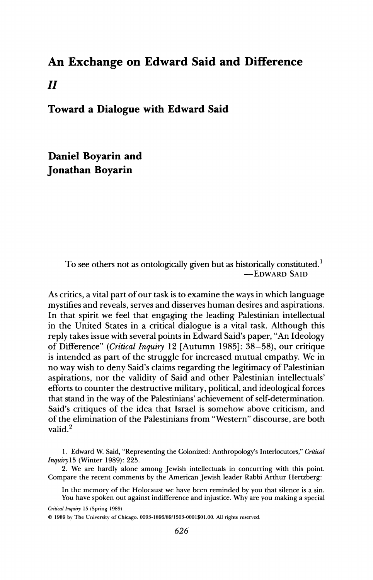## **An Exchange on Edward Said and Difference II**

**Toward a Dialogue with Edward Said** 

**Daniel Boyarin and Jonathan Boyarin** 

> **To see others not as ontologically given but as historically constituted.' -EDWARD SAID**

**As critics, a vital part of our task is to examine the ways in which language mystifies and reveals, serves and disserves human desires and aspirations. In that spirit we feel that engaging the leading Palestinian intellectual in the United States in a critical dialogue is a vital task. Although this reply takes issue with several points in Edward Said's paper, "An Ideology of Difference" (Critical Inquiry 12 [Autumn 1985]: 38-58), our critique is intended as part of the struggle for increased mutual empathy. We in no way wish to deny Said's claims regarding the legitimacy of Palestinian aspirations, nor the validity of Said and other Palestinian intellectuals' efforts to counter the destructive military, political, and ideological forces that stand in the way of the Palestinians' achievement of self-determination. Said's critiques of the idea that Israel is somehow above criticism, and of the elimination of the Palestinians from "Western" discourse, are both valid.2** 

**1. Edward W. Said, "Representing the Colonized: Anthropology's Interlocutors," Critical Inquiry 15 (Winter 1989): 225.** 

**2. We are hardly alone among Jewish intellectuals in concurring with this point. Compare the recent comments by the American Jewish leader Rabbi Arthur Hertzberg:** 

**In the memory of the Holocaust we have been reminded by you that silence is a sin. You have spoken out against indifference and injustice. Why are you making a special** 

**? 1989 by The University of Chicago. 0093-1896/89/1503-0001\$01.00. All rights reserved.**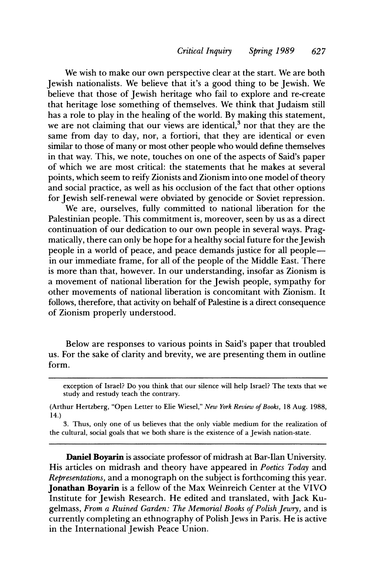**We wish to make our own perspective clear at the start. We are both Jewish nationalists. We believe that it's a good thing to be Jewish. We believe that those of Jewish heritage who fail to explore and re-create that heritage lose something of themselves. We think that Judaism still has a role to play in the healing of the world. By making this statement,**  we are not claiming that our views are identical,<sup>3</sup> nor that they are the **same from day to day, nor, a fortiori, that they are identical or even similar to those of many or most other people who would define themselves in that way. This, we note, touches on one of the aspects of Said's paper of which we are most critical: the statements that he makes at several points, which seem to reify Zionists and Zionism into one model of theory and social practice, as well as his occlusion of the fact that other options for Jewish self-renewal were obviated by genocide or Soviet repression.** 

**We are, ourselves, fully committed to national liberation for the Palestinian people. This commitment is, moreover, seen by us as a direct continuation of our dedication to our own people in several ways. Pragmatically, there can only be hope for a healthy social future for the Jewish people in a world of peace, and peace demands justice for all peoplein our immediate frame, for all of the people of the Middle East. There is more than that, however. In our understanding, insofar as Zionism is a movement of national liberation for the Jewish people, sympathy for other movements of national liberation is concomitant with Zionism. It follows, therefore, that activity on behalf of Palestine is a direct consequence of Zionism properly understood.** 

**Below are responses to various points in Said's paper that troubled us. For the sake of clarity and brevity, we are presenting them in outline form.** 

**exception of Israel? Do you think that our silence will help Israel? The texts that we study and restudy teach the contrary.** 

**(Arthur Hertzberg, "Open Letter to Elie Wiesel," New York Review of Books, 18 Aug. 1988, 14.)** 

**3. Thus, only one of us believes that the only viable medium for the realization of the cultural, social goals that we both share is the existence of a Jewish nation-state.** 

**Daniel Boyarin is associate professor of midrash at Bar-Ilan University. His articles on midrash and theory have appeared in Poetics Today and Representations, and a monograph on the subject is forthcoming this year. Jonathan Boyarin is a fellow of the Max Weinreich Center at the VIVO Institute for Jewish Research. He edited and translated, with Jack Kugelmass, From a Ruined Garden: The Memorial Books of Polish Jewry, and is currently completing an ethnography of Polish Jews in Paris. He is active in the International Jewish Peace Union.**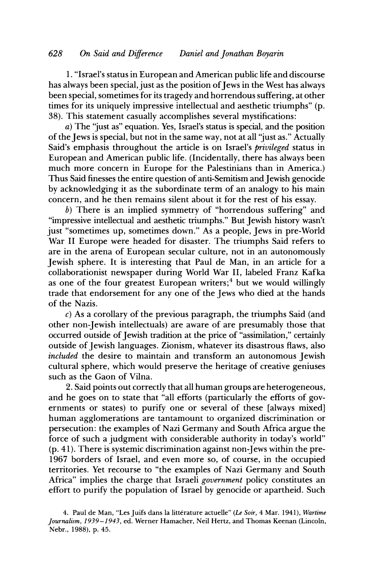**1. "Israel's status in European and American public life and discourse has always been special, just as the position of Jews in the West has always been special, sometimes for its tragedy and horrendous suffering, at other times for its uniquely impressive intellectual and aesthetic triumphs" (p. 38). This statement casually accomplishes several mystifications:** 

**a) The 'just as" equation. Yes, Israel's status is special, and the position of the Jews is special, but not in the same way, not at all 'just as." Actually Said's emphasis throughout the article is on Israel's privileged status in European and American public life. (Incidentally, there has always been much more concern in Europe for the Palestinians than in America.) Thus Said finesses the entire question of anti-Semitism and Jewish genocide by acknowledging it as the subordinate term of an analogy to his main concern, and he then remains silent about it for the rest of his essay.** 

**b) There is an implied symmetry of "horrendous suffering" and "impressive intellectual and aesthetic triumphs." But Jewish history wasn't just "sometimes up, sometimes down." As a people, Jews in pre-World War II Europe were headed for disaster. The triumphs Said refers to are in the arena of European secular culture, not in an autonomously Jewish sphere. It is interesting that Paul de Man, in an article for a collaborationist newspaper during World War II, labeled Franz Kafka**  as one of the four greatest European writers;<sup>4</sup> but we would willingly **trade that endorsement for any one of the Jews who died at the hands of the Nazis.** 

**c) As a corollary of the previous paragraph, the triumphs Said (and other non-Jewish intellectuals) are aware of are presumably those that occurred outside of Jewish tradition at the price of "assimilation," certainly outside of Jewish languages. Zionism, whatever its disastrous flaws, also included the desire to maintain and transform an autonomous Jewish cultural sphere, which would preserve the heritage of creative geniuses such as the Gaon of Vilna.** 

**2. Said points out correctly that all human groups are heterogeneous, and he goes on to state that "all efforts (particularly the efforts of governments or states) to purify one or several of these [always mixed] human agglomerations are tantamount to organized discrimination or persecution: the examples of Nazi Germany and South Africa argue the force of such a judgment with considerable authority in today's world" (p. 41). There is systemic discrimination against non-Jews within the pre-1967 borders of Israel, and even more so, of course, in the occupied territories. Yet recourse to "the examples of Nazi Germany and South Africa" implies the charge that Israeli government policy constitutes an effort to purify the population of Israel by genocide or apartheid. Such** 

**<sup>4.</sup> Paul de Man, "Les Juifs dans la litterature actuelle" (Le Soir, 4 Mar. 1941), Wartime Journalism, 1939-1943, ed. Werner Hamacher, Neil Hertz, and Thomas Keenan (Lincoln, Nebr., 1988), p. 45.**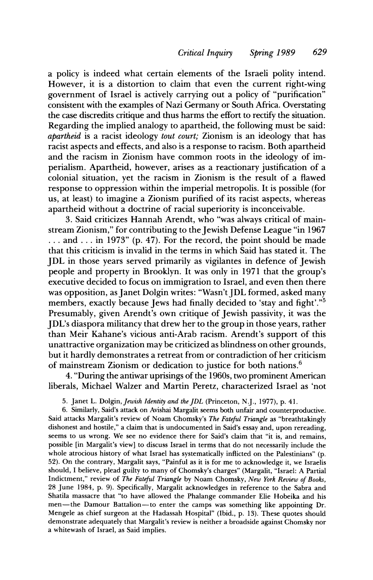**a policy is indeed what certain elements of the Israeli polity intend. However, it is a distortion to claim that even the current right-wing government of Israel is actively carrying out a policy of "purification" consistent with the examples of Nazi Germany or South Africa. Overstating the case discredits critique and thus harms the effort to rectify the situation. Regarding the implied analogy to apartheid, the following must be said: apartheid is a racist ideology tout court; Zionism is an ideology that has racist aspects and effects, and also is a response to racism. Both apartheid and the racism in Zionism have common roots in the ideology of imperialism. Apartheid, however, arises as a reactionary justification of a colonial situation, yet the racism in Zionism is the result of a flawed response to oppression within the imperial metropolis. It is possible (for us, at least) to imagine a Zionism purified of its racist aspects, whereas apartheid without a doctrine of racial superiority is inconceivable.** 

**3. Said criticizes Hannah Arendt, who "was always critical of mainstream Zionism," for contributing to the Jewish Defense League "in 1967 ... and ... in 1973" (p. 47). For the record, the point should be made that this criticism is invalid in the terms in which Said has stated it. The JDL in those years served primarily as vigilantes in defence of Jewish people and property in Brooklyn. It was only in 1971 that the group's executive decided to focus on immigration to Israel, and even then there**  was opposition, as Janet Dolgin writes: "Wasn't JDL formed, asked many **members, exactly because Jews had finally decided to 'stay and fight'."5 Presumably, given Arendt's own critique of Jewish passivity, it was the JDL's diaspora militancy that drew her to the group in those years, rather than Meir Kahane's vicious anti-Arab racism. Arendt's support of this unattractive organization may be criticized as blindness on other grounds, but it hardly demonstrates a retreat from or contradiction of her criticism of mainstream Zionism or dedication to justice for both nations.6** 

**4. "During the antiwar uprisings of the 1960s, two prominent American liberals, Michael Walzer and Martin Peretz, characterized Israel as 'not** 

5. Janet L. Dolgin, *Jewish Identity and the JDL* (Princeton, N.J., 1977), p. 41.

**6. Similarly, Said's attack on Avishai Margalit seems both unfair and counterproductive.**  Said attacks Margalit's review of Noam Chomsky's *The Fateful Triangle* as "breathtakingly **dishonest and hostile," a claim that is undocumented in Said's essay and, upon rereading, seems to us wrong. We see no evidence there for Said's claim that "it is, and remains, possible [in Margalit's view] to discuss Israel in terms that do not necessarily include the whole atrocious history of what Israel has systematically inflicted on the Palestinians" (p. 52). On the contrary, Margalit says, "Painful as it is for me to acknowledge it, we Israelis should, I believe, plead guilty to many of Chomsky's charges" (Margalit, "Israel: A Partial Indictment," review of The Fateful Triangle by Noam Chomsky, New York Review of Books, 28 June 1984, p. 9). Specifically, Margalit acknowledges in reference to the Sabra and Shatila massacre that "to have allowed the Phalange commander Elie Hobeika and his**  men-the Damour Battalion-to enter the camps was something like appointing Dr. **Mengele as chief surgeon at the Hadassah Hospital" (Ibid., p. 13). These quotes should demonstrate adequately that Margalit's review is neither a broadside against Chomsky nor a whitewash of Israel, as Said implies.**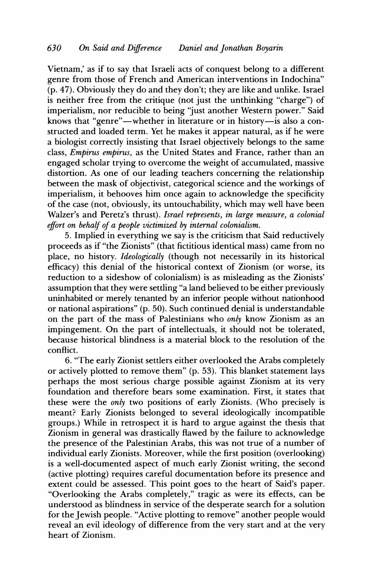**Vietnam,' as if to say that Israeli acts of conquest belong to a different genre from those of French and American interventions in Indochina" (p. 47). Obviously they do and they don't; they are like and unlike. Israel is neither free from the critique (not just the unthinking "charge") of imperialism, nor reducible to being 'just another Western power." Said**  knows that "genre"—whether in literature or in history—is also a con**structed and loaded term. Yet he makes it appear natural, as if he were a biologist correctly insisting that Israel objectively belongs to the same class, Empirus empirus, as the United States and France, rather than an engaged scholar trying to overcome the weight of accumulated, massive distortion. As one of our leading teachers concerning the relationship between the mask of objectivist, categorical science and the workings of imperialism, it behooves him once again to acknowledge the specificity of the case (not, obviously, its untouchability, which may well have been Walzer's and Peretz's thrust). Israel represents, in large measure, a colonial effort on behalf of a people victimized by internal colonialism.** 

**5. Implied in everything we say is the criticism that Said reductively proceeds as if "the Zionists" (that fictitious identical mass) came from no place, no history. Ideologically (though not necessarily in its historical efficacy) this denial of the historical context of Zionism (or worse, its reduction to a sideshow of colonialism) is as misleading as the Zionists' assumption that they were settling "a land believed to be either previously uninhabited or merely tenanted by an inferior people without nationhood or national aspirations" (p. 50). Such continued denial is understandable on the part of the mass of Palestinians who only know Zionism as an impingement. On the part of intellectuals, it should not be tolerated, because historical blindness is a material block to the resolution of the conflict.** 

**6. "The early Zionist settlers either overlooked the Arabs completely or actively plotted to remove them" (p. 53). This blanket statement lays perhaps the most serious charge possible against Zionism at its very foundation and therefore bears some examination. First, it states that these were the only two positions of early Zionists. (Who precisely is meant? Early Zionists belonged to several ideologically incompatible groups.) While in retrospect it is hard to argue against the thesis that Zionism in general was drastically flawed by the failure to acknowledge the presence of the Palestinian Arabs, this was not true of a number of individual early Zionists. Moreover, while the first position (overlooking) is a well-documented aspect of much early Zionist writing, the second (active plotting) requires careful documentation before its presence and extent could be assessed. This point goes to the heart of Said's paper. "Overlooking the Arabs completely," tragic as were its effects, can be understood as blindness in service of the desperate search for a solution for the Jewish people. "Active plotting to remove" another people would reveal an evil ideology of difference from the very start and at the very heart of Zionism.**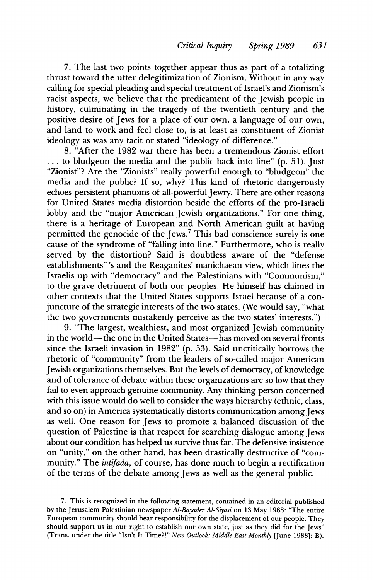**7. The last two points together appear thus as part of a totalizing thrust toward the utter delegitimization of Zionism. Without in any way calling for special pleading and special treatment of Israel's and Zionism's racist aspects, we believe that the predicament of the Jewish people in history, culminating in the tragedy of the twentieth century and the positive desire of Jews for a place of our own, a language of our own, and land to work and feel close to, is at least as constituent of Zionist ideology as was any tacit or stated "ideology of difference."** 

**8. "After the 1982 war there has been a tremendous Zionist effort ... to bludgeon the media and the public back into line" (p. 51). Just "Zionist"? Are the "Zionists" really powerful enough to "bludgeon" the media and the public? If so, why? This kind of rhetoric dangerously echoes persistent phantoms of all-powerful Jewry. There are other reasons for United States media distortion beside the efforts of the pro-Israeli lobby and the "major American Jewish organizations." For one thing, there is a heritage of European and North American guilt at having permitted the genocide of the Jews.7 This bad conscience surely is one cause of the syndrome of "falling into line." Furthermore, who is really served by the distortion? Said is doubtless aware of the "defense establishments"'s and the Reaganites' manichaean view, which lines the Israelis up with "democracy" and the Palestinians with "Communism," to the grave detriment of both our peoples. He himself has claimed in other contexts that the United States supports Israel because of a conjuncture of the strategic interests of the two states. (We would say, "what the two governments mistakenly perceive as the two states' interests.")** 

**9. "The largest, wealthiest, and most organized Jewish community**  in the world-the one in the United States-has moved on several fronts **since the Israeli invasion in 1982" (p. 53). Said uncritically borrows the rhetoric of "community" from the leaders of so-called major American Jewish organizations themselves. But the levels of democracy, of knowledge and of tolerance of debate within these organizations are so low that they fail to even approach genuine community. Any thinking person concerned with this issue would do well to consider the ways hierarchy (ethnic, class,**  and so on) in America systematically distorts communication among Jews **as well. One reason for Jews to promote a balanced discussion of the question of Palestine is that respect for searching dialogue among Jews about our condition has helped us survive thus far. The defensive insistence on "unity," on the other hand, has been drastically destructive of "community." The intifada, of course, has done much to begin a rectification of the terms of the debate among Jews as well as the general public.** 

**7. This is recognized in the following statement, contained in an editorial published by the Jerusalem Palestinian newspaper Al-Bayader Al-Siyasi on 13 May 1988: "The entire European community should bear responsibility for the displacement of our people. They should support us in our right to establish our own state, just as they did for the Jews"**  (Trans. under the title "Isn't It Time?!" New Outlook: Middle East Monthly [June 1988]: B).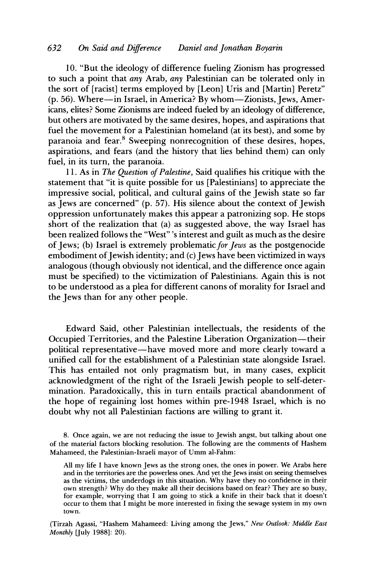## **632 On Said and Difference Daniel and Jonathan Boyarin**

**10. "But the ideology of difference fueling Zionism has progressed to such a point that any Arab, any Palestinian can be tolerated only in the sort of [racist] terms employed by [Leon] Uris and [Martin] Peretz" (p. 56). Where-in Israel, in America? By whom-Zionists, Jews, Americans, elites? Some Zionisms are indeed fueled by an ideology of difference, but others are motivated by the same desires, hopes, and aspirations that fuel the movement for a Palestinian homeland (at its best), and some by paranoia and fear.8 Sweeping nonrecognition of these desires, hopes, aspirations, and fears (and the history that lies behind them) can only fuel, in its turn, the paranoia.** 

**11. As in The Question of Palestine, Said qualifies his critique with the statement that "it is quite possible for us [Palestinians] to appreciate the impressive social, political, and cultural gains of the Jewish state so far as Jews are concerned" (p. 57). His silence about the context of Jewish oppression unfortunately makes this appear a patronizing sop. He stops short of the realization that (a) as suggested above, the way Israel has been realized follows the "West" 's interest and guilt as much as the desire**  of Jews; (b) Israel is extremely problematic for Jews as the postgenocide **embodiment of Jewish identity; and (c) Jews have been victimized in ways analogous (though obviously not identical, and the difference once again must be specified) to the victimization of Palestinians. Again this is not to be understood as a plea for different canons of morality for Israel and the Jews than for any other people.** 

**Edward Said, other Palestinian intellectuals, the residents of the Occupied Territories, and the Palestine Liberation Organization-their political representative-have moved more and more clearly toward a unified call for the establishment of a Palestinian state alongside Israel. This has entailed not only pragmatism but, in many cases, explicit acknowledgment of the right of the Israeli Jewish people to self-determination. Paradoxically, this in turn entails practical abandonment of the hope of regaining lost homes within pre-1948 Israel, which is no doubt why not all Palestinian factions are willing to grant it.** 

**8. Once again, we are not reducing the issue to Jewish angst, but talking about one of the material factors blocking resolution. The following are the comments of Hashem Mahameed, the Palestinian-Israeli mayor of Umm al-Fahm:** 

**All my life I have known Jews as the strong ones, the ones in power. We Arabs here and in the territories are the powerless ones. And yet the Jews insist on seeing themselves as the victims, the underdogs in this situation. Why have they no confidence in their own strength? Why do they make all their decisions based on fear? They are so busy, for example, worrying that I am going to stick a knife in their back that it doesn't occur to them that I might be more interested in fixing the sewage system in my own town.** 

**(Tirzah Agassi, "Hashem Mahameed: Living among the Jews," New Outlook: Middle East Monthly [July 1988]: 20).**